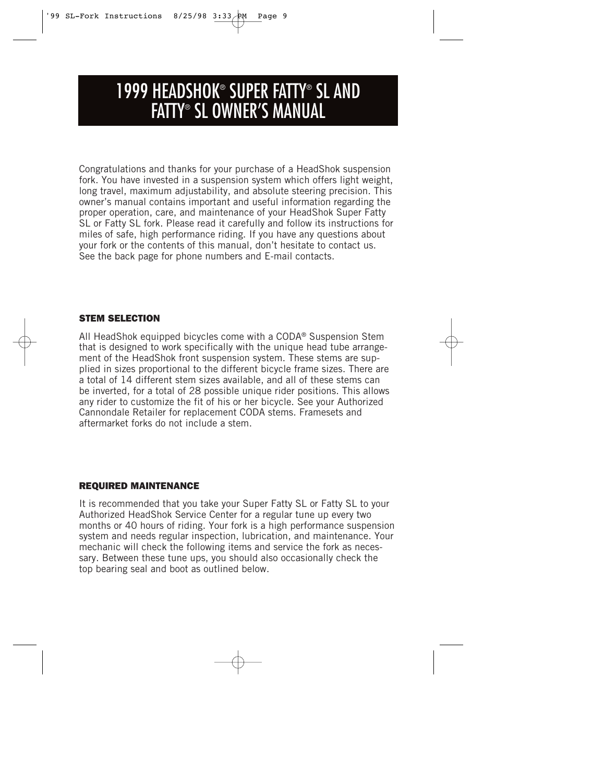# 1999 HEADSHOK® SUPER FATTY® SL AND FATTY® SL OWNER'S MANUAL

Congratulations and thanks for your purchase of a HeadShok suspension fork. You have invested in a suspension system which offers light weight, long travel, maximum adjustability, and absolute steering precision. This owner's manual contains important and useful information regarding the proper operation, care, and maintenance of your HeadShok Super Fatty SL or Fatty SL fork. Please read it carefully and follow its instructions for miles of safe, high performance riding. If you have any questions about your fork or the contents of this manual, don't hesitate to contact us. See the back page for phone numbers and E-mail contacts.

## *STEM SELECTION*

All HeadShok equipped bicycles come with a CODA® Suspension Stem that is designed to work specifically with the unique head tube arrangement of the HeadShok front suspension system. These stems are supplied in sizes proportional to the different bicycle frame sizes. There are a total of 14 different stem sizes available, and all of these stems can be inverted, for a total of 28 possible unique rider positions. This allows any rider to customize the fit of his or her bicycle. See your Authorized Cannondale Retailer for replacement CODA stems. Framesets and aftermarket forks do not include a stem.

## *REQUIRED MAINTENANCE*

It is recommended that you take your Super Fatty SL or Fatty SL to your Authorized HeadShok Service Center for a regular tune up every two months or 40 hours of riding. Your fork is a high performance suspension system and needs regular inspection, lubrication, and maintenance. Your mechanic will check the following items and service the fork as necessary. Between these tune ups, you should also occasionally check the top bearing seal and boot as outlined below.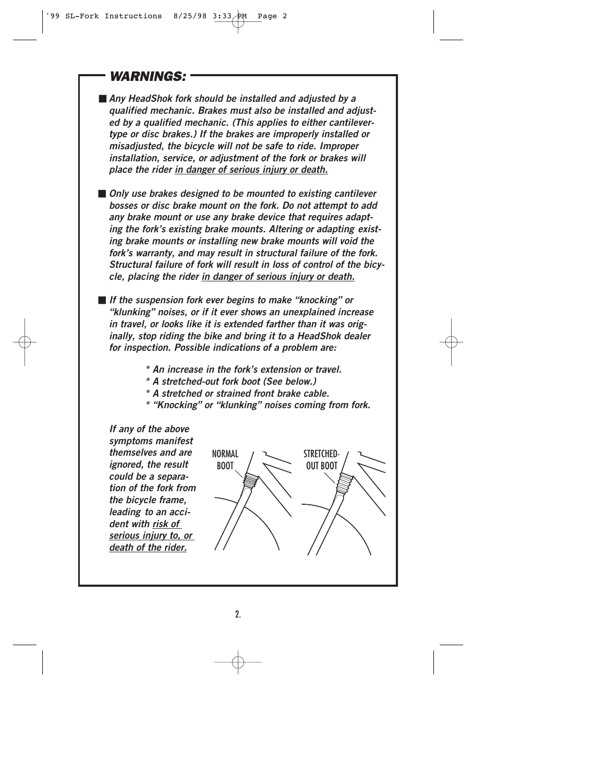# *WARNINGS:*

■ *Any HeadShok fork should be installed and adjusted by a qualified mechanic. Brakes must also be installed and adjusted by a qualified mechanic. (This applies to either cantilevertype or disc brakes.) If the brakes are improperly installed or misadjusted, the bicycle will not be safe to ride. Improper installation, service, or adjustment of the fork or brakes will place the rider in danger of serious injury or death.*

■ *Only use brakes designed to be mounted to existing cantilever bosses or disc brake mount on the fork. Do not attempt to add*  any brake mount or use any brake device that requires adapt*ing the fork's existing brake mounts. Altering or adapting existing brake mounts or installing new brake mounts will void the fork's warranty, and may result in structural failure of the fork. Structural failure of fork will result in loss of control of the bicycle, placing the rider in danger of serious injury or death.*

■ *If the suspension fork ever begins to make "knocking" or "klunking" noises, or if it ever shows an unexplained increase in travel, or looks like it is extended farther than it was originally, stop riding the bike and bring it to a HeadShok dealer for inspection. Possible indications of a problem are:*

- *\* An increase in the fork's extension or travel.*
- *\* A stretched-out fork boot (See below.)*
- *\* A stretched or strained front brake cable.*
- *\* "Knocking" or "klunking" noises coming from fork.*

*If any of the above symptoms manifest themselves and are ignored, the result could be a separation of the fork from the bicycle frame, leading to an accident with risk of serious injury to, or death of the rider.*

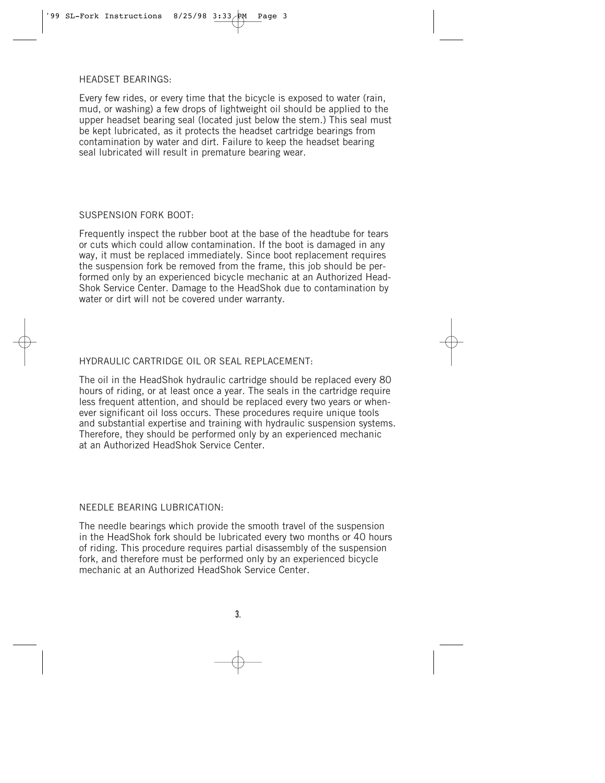HEADSET BEARINGS:

Every few rides, or every time that the bicycle is exposed to water (rain, mud, or washing) a few drops of lightweight oil should be applied to the upper headset bearing seal (located just below the stem.) This seal must be kept lubricated, as it protects the headset cartridge bearings from contamination by water and dirt. Failure to keep the headset bearing seal lubricated will result in premature bearing wear.

## SUSPENSION FORK BOOT:

Frequently inspect the rubber boot at the base of the headtube for tears or cuts which could allow contamination. If the boot is damaged in any way, it must be replaced immediately. Since boot replacement requires the suspension fork be removed from the frame, this job should be performed only by an experienced bicycle mechanic at an Authorized Head-Shok Service Center. Damage to the HeadShok due to contamination by water or dirt will not be covered under warranty.

## HYDRAULIC CARTRIDGE OIL OR SEAL REPLACEMENT:

The oil in the HeadShok hydraulic cartridge should be replaced every 80 hours of riding, or at least once a year. The seals in the cartridge require less frequent attention, and should be replaced every two years or whenever significant oil loss occurs. These procedures require unique tools and substantial expertise and training with hydraulic suspension systems. Therefore, they should be performed only by an experienced mechanic at an Authorized HeadShok Service Center.

## NEEDLE BEARING LUBRICATION:

The needle bearings which provide the smooth travel of the suspension in the HeadShok fork should be lubricated every two months or 40 hours of riding. This procedure requires partial disassembly of the suspension fork, and therefore must be performed only by an experienced bicycle mechanic at an Authorized HeadShok Service Center.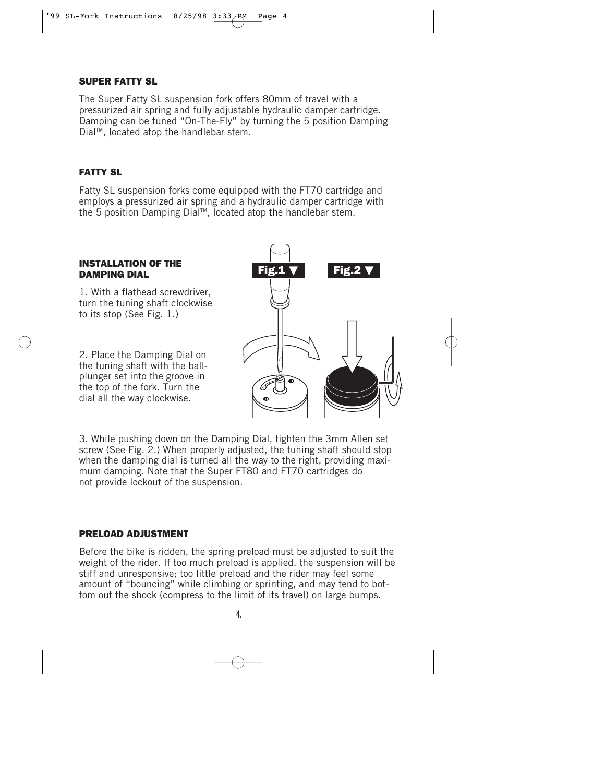## *SUPER FATTY SL*

The Super Fatty SL suspension fork offers 80mm of travel with a pressurized air spring and fully adjustable hydraulic damper cartridge. Damping can be tuned "On-The-Fly" by turning the 5 position Damping Dial™, located atop the handlebar stem.

## *FATTY SL*

Fatty SL suspension forks come equipped with the FT70 cartridge and employs a pressurized air spring and a hydraulic damper cartridge with the 5 position Damping Dial™, located atop the handlebar stem.

#### *INSTALLATION OF THE DAMPING DIAL*

1. With a flathead screwdriver, turn the tuning shaft clockwise to its stop (See Fig. 1.)

2. Place the Damping Dial on the tuning shaft with the ballplunger set into the groove in the top of the fork. Turn the dial all the way clockwise.



3. While pushing down on the Damping Dial, tighten the 3mm Allen set screw (See Fig. 2.) When properly adjusted, the tuning shaft should stop when the damping dial is turned all the way to the right, providing maximum damping. Note that the Super FT80 and FT70 cartridges do not provide lockout of the suspension.

## *PRELOAD ADJUSTMENT*

Before the bike is ridden, the spring preload must be adjusted to suit the weight of the rider. If too much preload is applied, the suspension will be stiff and unresponsive; too little preload and the rider may feel some amount of "bouncing" while climbing or sprinting, and may tend to bottom out the shock (compress to the limit of its travel) on large bumps.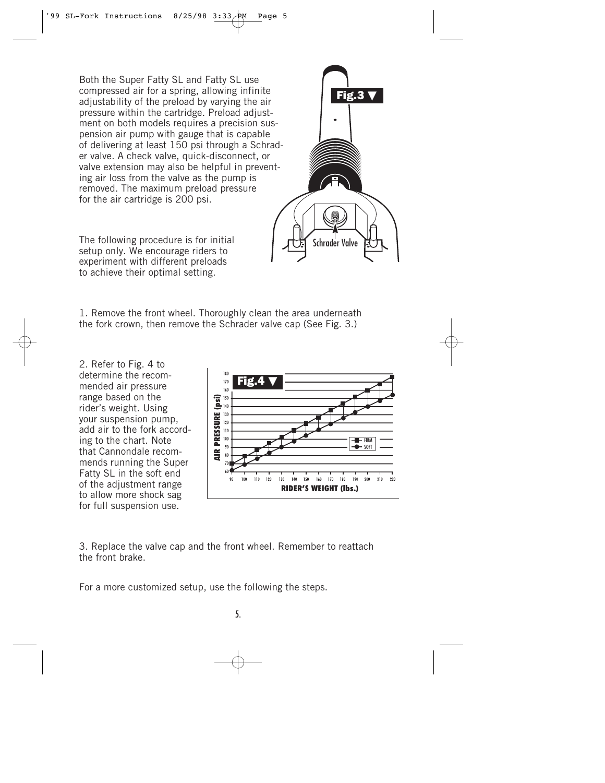Both the Super Fatty SL and Fatty SL use compressed air for a spring, allowing infinite adjustability of the preload by varying the air pressure within the cartridge. Preload adjustment on both models requires a precision suspension air pump with gauge that is capable of delivering at least 150 psi through a Schrader valve. A check valve, quick-disconnect, or valve extension may also be helpful in preventing air loss from the valve as the pump is removed. The maximum preload pressure for the air cartridge is 200 psi.

The following procedure is for initial setup only. We encourage riders to experiment with different preloads to achieve their optimal setting.

1. Remove the front wheel. Thoroughly clean the area underneath the fork crown, then remove the Schrader valve cap (See Fig. 3.)

2. Refer to Fig. 4 to determine the recommended air pressure range based on the rider's weight. Using your suspension pump, add air to the fork according to the chart. Note that Cannondale recommends running the Super Fatty SL in the soft end of the adjustment range to allow more shock sag for full suspension use.



3. Replace the valve cap and the front wheel. Remember to reattach the front brake.

For a more customized setup, use the following the steps.



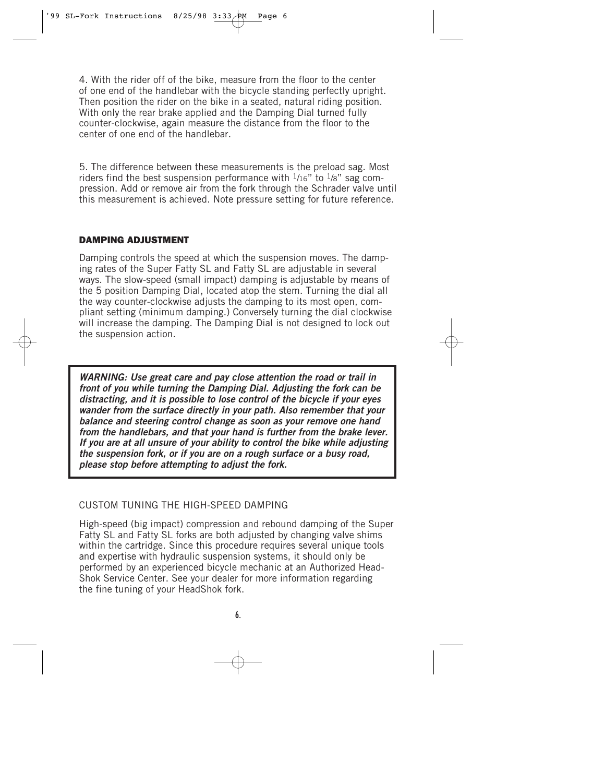4. With the rider off of the bike, measure from the floor to the center of one end of the handlebar with the bicycle standing perfectly upright. Then position the rider on the bike in a seated, natural riding position. With only the rear brake applied and the Damping Dial turned fully counter-clockwise, again measure the distance from the floor to the center of one end of the handlebar.

5. The difference between these measurements is the preload sag. Most riders find the best suspension performance with  $1/16$ " to  $1/8$ " sag compression. Add or remove air from the fork through the Schrader valve until this measurement is achieved. Note pressure setting for future reference.

## *DAMPING ADJUSTMENT*

Damping controls the speed at which the suspension moves. The damping rates of the Super Fatty SL and Fatty SL are adjustable in several ways. The slow-speed (small impact) damping is adjustable by means of the 5 position Damping Dial, located atop the stem. Turning the dial all the way counter-clockwise adjusts the damping to its most open, compliant setting (minimum damping.) Conversely turning the dial clockwise will increase the damping. The Damping Dial is not designed to lock out the suspension action.

*WARNING: Use great care and pay close attention the road or trail in front of you while turning the Damping Dial. Adjusting the fork can be distracting, and it is possible to lose control of the bicycle if your eyes wander from the surface directly in your path. Also remember that your balance and steering control change as soon as your remove one hand from the handlebars, and that your hand is further from the brake lever. If you are at all unsure of your ability to control the bike while adjusting the suspension fork, or if you are on a rough surface or a busy road, please stop before attempting to adjust the fork.*

## CUSTOM TUNING THE HIGH-SPEED DAMPING

High-speed (big impact) compression and rebound damping of the Super Fatty SL and Fatty SL forks are both adjusted by changing valve shims within the cartridge. Since this procedure requires several unique tools and expertise with hydraulic suspension systems, it should only be performed by an experienced bicycle mechanic at an Authorized Head-Shok Service Center. See your dealer for more information regarding the fine tuning of your HeadShok fork.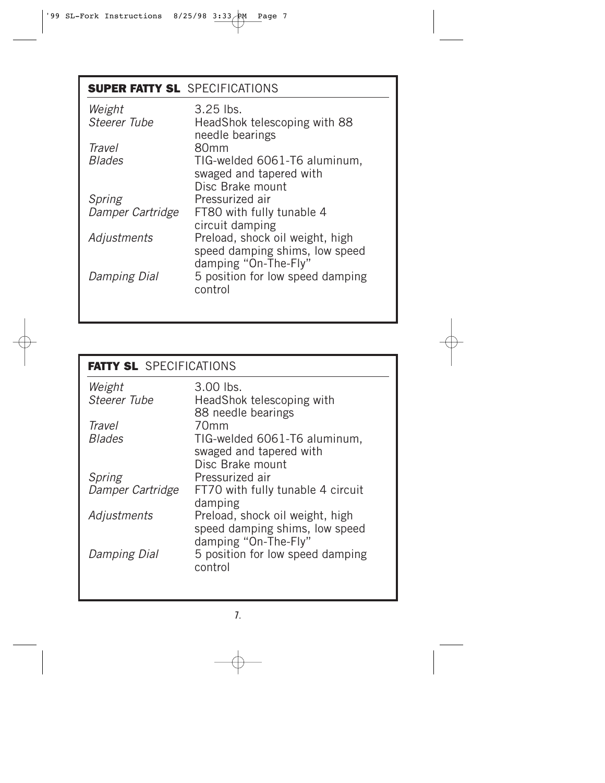# *SUPER FATTY SL* SPECIFICATIONS

| $3.25$ lbs.<br>HeadShok telescoping with 88<br>needle bearings                            |
|-------------------------------------------------------------------------------------------|
| 80 <sub>mm</sub>                                                                          |
| TIG-welded 6061-T6 aluminum,<br>swaged and tapered with                                   |
| Disc Brake mount                                                                          |
| Pressurized air                                                                           |
| FT80 with fully tunable 4<br>circuit damping                                              |
| Preload, shock oil weight, high<br>speed damping shims, low speed<br>damping "On-The-Fly" |
| 5 position for low speed damping<br>control                                               |
|                                                                                           |

## *FATTY SL* SPECIFICATIONS Weight 3.00 lbs.<br>Steerer Tube HeadShol HeadShok telescoping with 88 needle bearings Travel 70mm<br>Blades TIG-we TIG-welded 6061-T6 aluminum, swaged and tapered with Disc Brake mount Spring Pressurized air<br>Damper Cartridge FT70 with fully FT70 with fully tunable 4 circuit damping Adjustments Preload, shock oil weight, high speed damping shims, low speed damping "On-The-Fly" Damping Dial 5 position for low speed damping control